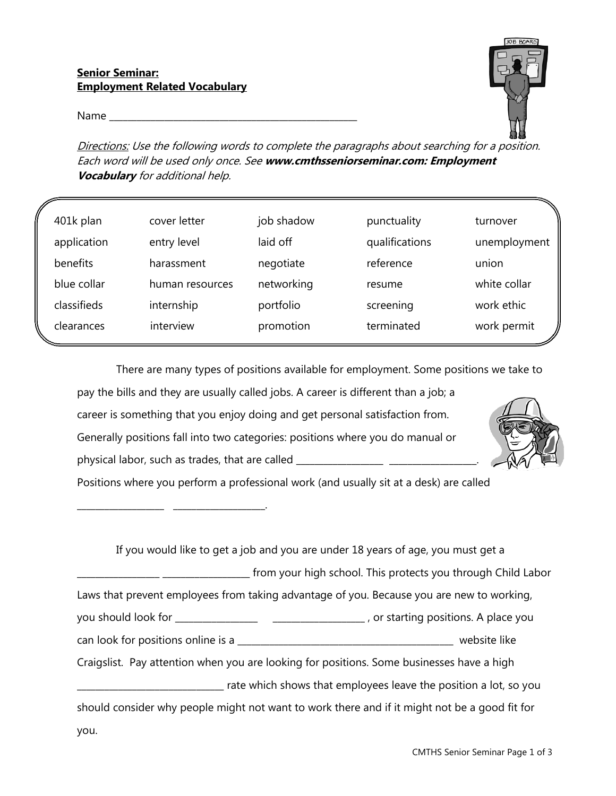## **Senior Seminar: Employment Related Vocabulary**

\_\_\_\_\_\_\_\_\_\_\_\_\_\_\_\_\_\_\_ \_\_\_\_\_\_\_\_\_\_\_\_\_\_\_\_\_\_\_\_.

Name \_\_\_\_\_\_\_\_\_\_\_\_\_\_\_\_\_\_\_\_\_\_\_\_\_\_\_\_\_\_\_\_\_\_\_\_\_\_\_\_\_\_\_\_\_\_\_\_\_\_\_\_\_\_



Directions: Use the following words to complete the paragraphs about searching for a position. Each word will be used only once. See **www.cmthsseniorseminar.com: Employment Vocabulary** for additional help.

| 401k plan   | cover letter    | job shadow | punctuality    | turnover     |
|-------------|-----------------|------------|----------------|--------------|
| application | entry level     | laid off   | qualifications | unemployment |
| benefits    | harassment      | negotiate  | reference      | union        |
| blue collar | human resources | networking | resume         | white collar |
| classifieds | internship      | portfolio  | screening      | work ethic   |
| clearances  | interview       | promotion  | terminated     | work permit  |

There are many types of positions available for employment. Some positions we take to

pay the bills and they are usually called jobs. A career is different than a job; a career is something that you enjoy doing and get personal satisfaction from. Generally positions fall into two categories: positions where you do manual or physical labor, such as trades, that are called \_\_\_\_\_\_\_\_\_\_\_\_\_\_\_\_\_\_\_\_\_\_\_\_\_\_\_\_\_\_\_\_\_



Positions where you perform a professional work (and usually sit at a desk) are called

 If you would like to get a job and you are under 18 years of age, you must get a \_\_\_\_\_\_\_\_\_\_\_\_\_\_\_\_\_\_ \_\_\_\_\_\_\_\_\_\_\_\_\_\_\_\_\_\_\_ from your high school. This protects you through Child Labor Laws that prevent employees from taking advantage of you. Because you are new to working, you should look for \_\_\_\_\_\_\_\_\_\_\_\_\_\_\_\_\_\_ \_\_\_\_\_\_\_\_\_\_\_\_\_\_\_\_\_\_\_\_ , or starting positions. A place you can look for positions online is a \_\_\_\_\_\_\_\_\_\_\_\_\_\_\_\_\_\_\_\_\_\_\_\_\_\_\_\_\_\_\_\_\_\_\_\_\_\_\_\_\_\_\_\_\_\_\_ website like Craigslist. Pay attention when you are looking for positions. Some businesses have a high \_\_\_\_\_\_\_\_\_\_\_\_\_\_\_\_\_\_\_\_\_\_\_\_\_\_\_\_\_\_\_\_ rate which shows that employees leave the position a lot, so you should consider why people might not want to work there and if it might not be a good fit for you.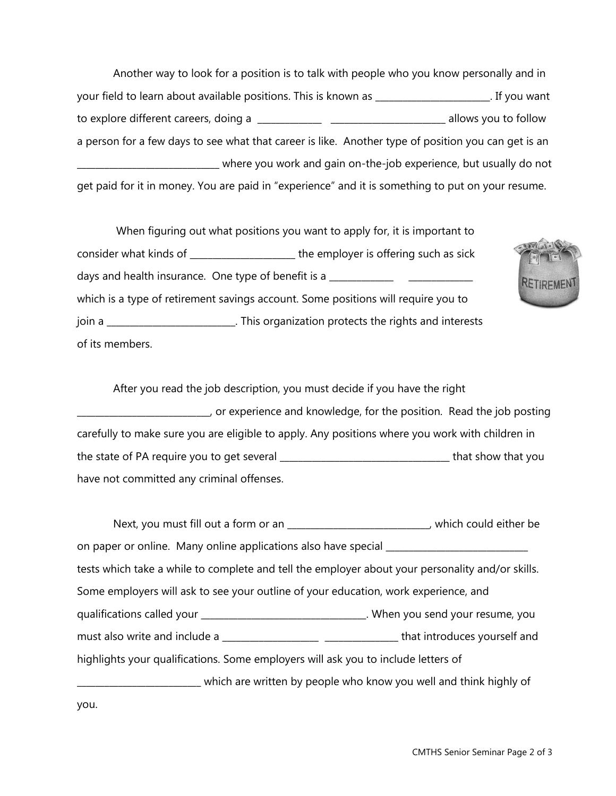Another way to look for a position is to talk with people who you know personally and in your field to learn about available positions. This is known as \_\_\_\_\_\_\_\_\_\_\_\_\_\_\_\_\_\_\_\_\_\_\_\_\_. If you want to explore different careers, doing a \_\_\_\_\_\_\_\_\_\_\_\_\_\_ \_\_\_\_\_\_\_\_\_\_\_\_\_\_\_\_\_\_\_\_\_\_\_\_\_ allows you to follow a person for a few days to see what that career is like. Another type of position you can get is an \_\_\_\_\_\_\_\_\_\_\_\_\_\_\_\_\_\_\_\_\_\_\_\_\_\_\_\_\_\_\_ where you work and gain on-the-job experience, but usually do not get paid for it in money. You are paid in "experience" and it is something to put on your resume.

 When figuring out what positions you want to apply for, it is important to consider what kinds of \_\_\_\_\_\_\_\_\_\_\_\_\_\_\_\_\_\_\_\_\_\_\_ the employer is offering such as sick days and health insurance. One type of benefit is a \_\_\_\_\_\_\_\_\_\_\_\_\_\_\_\_\_\_\_\_\_\_\_\_\_\_\_\_ which is a type of retirement savings account. Some positions will require you to join a \_\_\_\_\_\_\_\_\_\_\_\_\_\_\_\_\_\_\_\_\_\_\_\_\_\_\_\_. This organization protects the rights and interests of its members.



After you read the job description, you must decide if you have the right \_\_\_\_\_\_\_\_\_\_\_\_\_\_\_\_\_\_\_\_\_\_\_\_\_\_\_\_\_, or experience and knowledge, for the position. Read the job posting carefully to make sure you are eligible to apply. Any positions where you work with children in the state of PA require you to get several \_\_\_\_\_\_\_\_\_\_\_\_\_\_\_\_\_\_\_\_\_\_\_\_\_\_\_\_\_\_\_\_\_\_\_\_\_ that show that you have not committed any criminal offenses.

| Next, you must fill out a form or an _____________________________, which could either be        |                                                                   |  |  |  |
|--------------------------------------------------------------------------------------------------|-------------------------------------------------------------------|--|--|--|
| on paper or online. Many online applications also have special __________________                |                                                                   |  |  |  |
| tests which take a while to complete and tell the employer about your personality and/or skills. |                                                                   |  |  |  |
| Some employers will ask to see your outline of your education, work experience, and              |                                                                   |  |  |  |
| qualifications called your ________________________________. When you send your resume, you      |                                                                   |  |  |  |
|                                                                                                  |                                                                   |  |  |  |
| highlights your qualifications. Some employers will ask you to include letters of                |                                                                   |  |  |  |
|                                                                                                  | which are written by people who know you well and think highly of |  |  |  |
|                                                                                                  |                                                                   |  |  |  |

you.